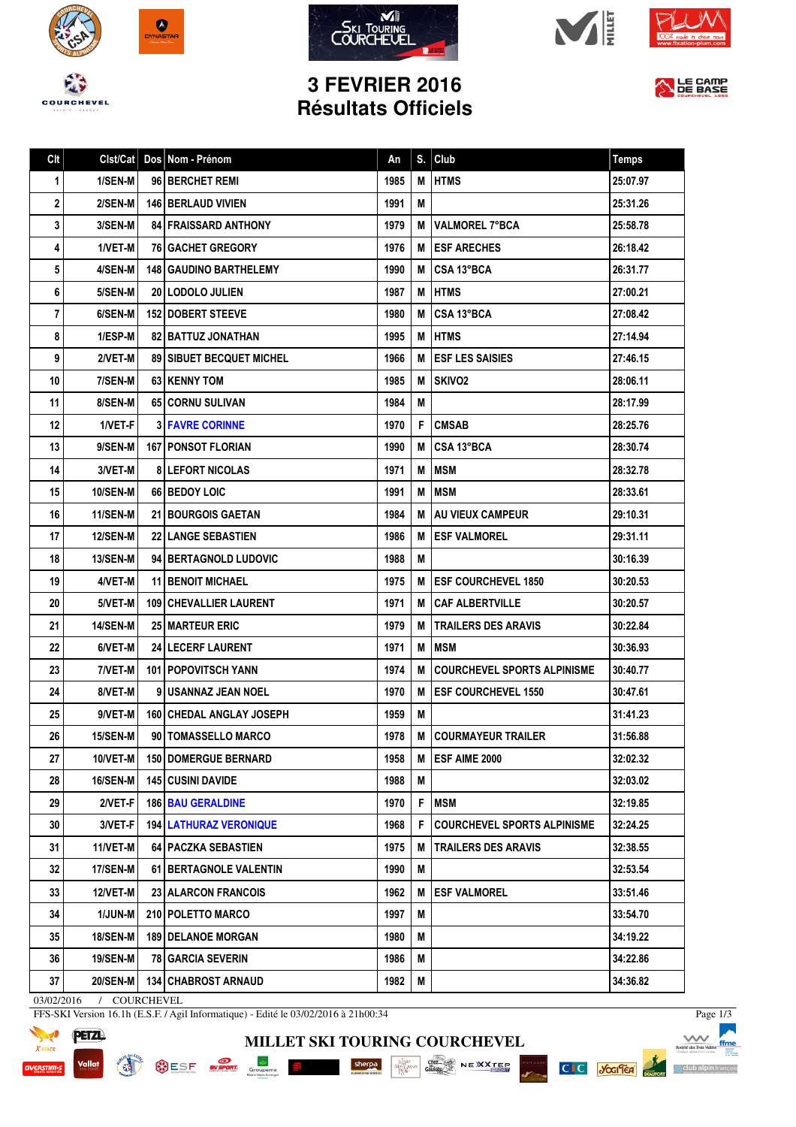









## **3 FEVRIER 2016 Résultats Officiels**



| Clt         | Clst/Cat        | Dos Nom - Prénom                  | An   | S. | Club                               | <b>Temps</b> |
|-------------|-----------------|-----------------------------------|------|----|------------------------------------|--------------|
| $\mathbf 1$ | 1/SEN-M         | 96 BERCHET REMI                   | 1985 | M  | <b>HTMS</b>                        | 25:07.97     |
| 2           | 2/SEN-M         | <b>146 BERLAUD VIVIEN</b>         | 1991 | M  |                                    | 25:31.26     |
| 3           | 3/SEN-M         | <b>84 FRAISSARD ANTHONY</b>       | 1979 | М  | <b>IVALMOREL 7°BCA</b>             | 25:58.78     |
| 4           | 1/VET-M         | <b>76 GACHET GREGORY</b>          | 1976 | М  | <b>IESF ARECHES</b>                | 26:18.42     |
| 5           | 4/SEN-M         | <b>148   GAUDINO BARTHELEMY</b>   | 1990 | M  | CSA 13°BCA                         | 26:31.77     |
| 6           | 5/SEN-M         | 20 LODOLO JULIEN                  | 1987 |    | <b>MIHTMS</b>                      | 27:00.21     |
| 7           | 6/SEN-M         | <b>152   DOBERT STEEVE</b>        | 1980 |    | M CSA 13°BCA                       | 27:08.42     |
| 8           | 1/ESP-M         | <b>82   BATTUZ JONATHAN</b>       | 1995 | M  | <b>HTMS</b>                        | 27:14.94     |
| 9           | 2/VET-M         | <b>89   SIBUET BECQUET MICHEL</b> | 1966 | м  | <b>ESF LES SAISIES</b>             | 27:46.15     |
| 10          | 7/SEN-M         | 63 KENNY TOM                      | 1985 | М  | <b>SKIVO2</b>                      | 28:06.11     |
| 11          | 8/SEN-M         | <b>651 CORNU SULIVAN</b>          | 1984 | M  |                                    | 28:17.99     |
| 12          | 1/VET-F         | <b>3 FAVRE CORINNE</b>            | 1970 | F. | <b>CMSAB</b>                       | 28:25.76     |
| 13          | 9/SEN-M         | <b>167 PONSOT FLORIAN</b>         | 1990 | М  | CSA 13°BCA                         | 28:30.74     |
| 14          | 3/VET-M         | <b>8 LEFORT NICOLAS</b>           | 1971 | M  | <b>IMSM</b>                        | 28:32.78     |
| 15          | 10/SEN-M        | 66 BEDOY LOIC                     | 1991 | М  | <b>IMSM</b>                        | 28:33.61     |
| 16          | 11/SEN-M        | <b>21 BOURGOIS GAETAN</b>         | 1984 | м  | <b>LAU VIEUX CAMPEUR</b>           | 29:10.31     |
| 17          | <b>12/SEN-M</b> | <b>22 LANGE SEBASTIEN</b>         | 1986 | М  | <b>IESF VALMOREL</b>               | 29:31.11     |
| 18          | <b>13/SEN-M</b> | 94 BERTAGNOLD LUDOVIC             | 1988 | M  |                                    | 30:16.39     |
| 19          | 4/VET-M         | <b>11 BENOIT MICHAEL</b>          | 1975 | M  | <b>IESF COURCHEVEL 1850</b>        | 30:20.53     |
| 20          | 5/VET-M         | <b>109   CHEVALLIER LAURENT</b>   | 1971 |    | <b>M   CAF ALBERTVILLE</b>         | 30:20.57     |
| 21          | <b>14/SEN-M</b> | <b>25 MARTEUR ERIC</b>            | 1979 | М  | <b>TRAILERS DES ARAVIS</b>         | 30:22.84     |
| 22          | 6/VET-M         | <b>24 LECERF LAURENT</b>          | 1971 | M  | <b>IMSM</b>                        | 30:36.93     |
| 23          | 7/VET-M         | <b>101   POPOVITSCH YANN</b>      | 1974 | М  | <b>COURCHEVEL SPORTS ALPINISME</b> | 30:40.77     |
| 24          | 8/VET-M         | 9 I USANNAZ JEAN NOEL             | 1970 |    | M <b>JESF COURCHEVEL 1550</b>      | 30:47.61     |
| 25          | 9/VET-M         | 160 CHEDAL ANGLAY JOSEPH          | 1959 | M  |                                    | 31:41.23     |
| 26          | 15/SEN-M        | 90   TOMASSELLO MARCO             | 1978 |    | <b>M ICOURMAYEUR TRAILER</b>       | 31:56.88     |
| 27          | 10/VET-M        | <b>150 DOMERGUE BERNARD</b>       | 1958 | M  | ESF AIME 2000                      | 32:02.32     |
| 28          | 16/SEN-M        | <b>145 CUSINI DAVIDE</b>          | 1988 | M  |                                    | 32:03.02     |
| 29          | $2/VET-F$       | <b>186 BAU GERALDINE</b>          | 1970 | F  | <b>MSM</b>                         | 32:19.85     |
| 30          | 3/VET-F         | <b>194   LATHURAZ VERONIQUE</b>   | 1968 | F  | <b>COURCHEVEL SPORTS ALPINISME</b> | 32:24.25     |
| 31          | $11/NET-M$      | <b>64   PACZKA SEBASTIEN</b>      | 1975 | M  | <b>TRAILERS DES ARAVIS</b>         | 32:38.55     |
| 32          | <b>17/SEN-M</b> | 61 BERTAGNOLE VALENTIN            | 1990 | M  |                                    | 32:53.54     |
| 33          | 12/VET-M        | <b>23 ALARCON FRANCOIS</b>        | 1962 | M  | <b>ESF VALMOREL</b>                | 33:51.46     |
| 34          | 1/JUN-M         | 210 POLETTO MARCO                 | 1997 | M  |                                    | 33:54.70     |
| 35          | <b>18/SEN-M</b> | <b>189   DELANOE MORGAN</b>       | 1980 | M  |                                    | 34:19.22     |
| 36          | <b>19/SEN-M</b> | <b>78 GARCIA SEVERIN</b>          | 1986 | M  |                                    | 34:22.86     |
| 37          | 20/SEN-M        | <b>134   CHABROST ARNAUD</b>      | 1982 | M  |                                    | 34:36.82     |

**MILLET SKI TOURING COURCHEVEL**

1511 NOI

SESE NEWS Groupons E Sherpe Sherpe Conserved NEWS NEXT CONSERVED ON A REAL PROPERTY OF SALES

03/02/2016 / COURCHEVEL

FFS-SKI Version 16.1h (E.S.F. / Agil Informatique) - Edité le 03/02/2016 à 21h00:34



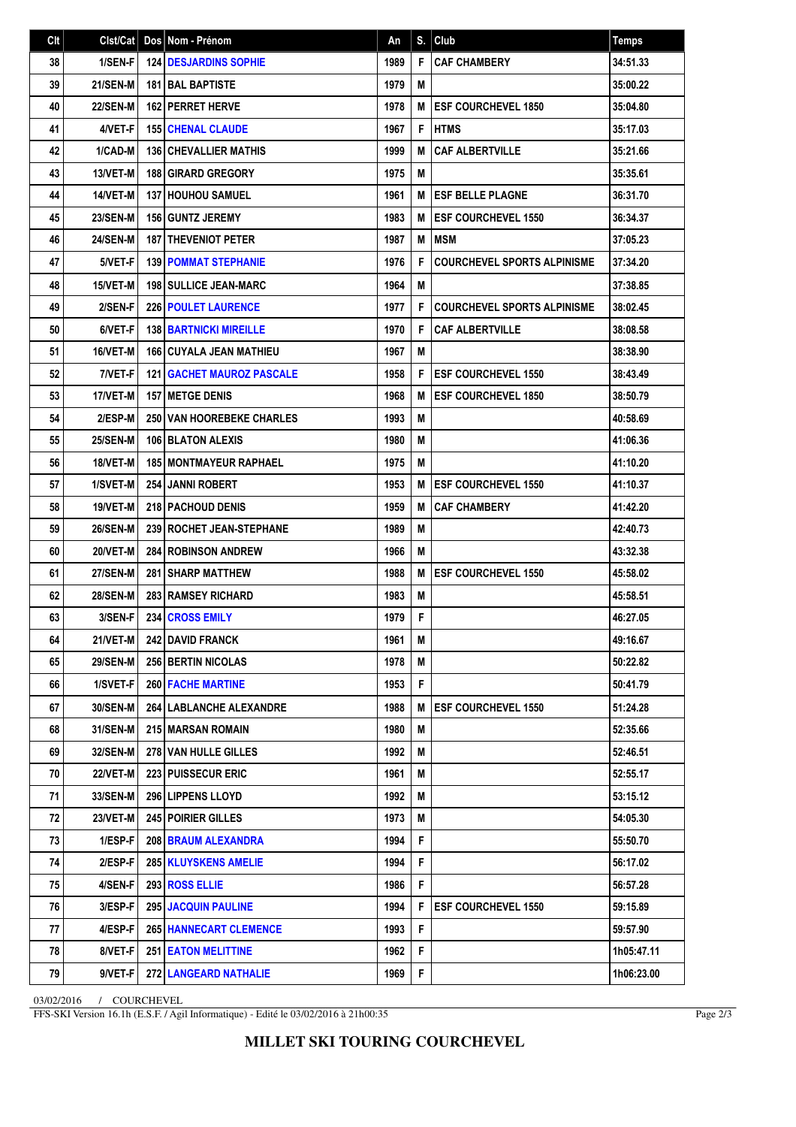| Clt | Clst/Cat        | Dos Nom - Prénom                   | An   | S. | Club                               | <b>Temps</b> |
|-----|-----------------|------------------------------------|------|----|------------------------------------|--------------|
| 38  | 1/SEN-F         | <b>124 DESJARDINS SOPHIE</b>       | 1989 | F  | <b>CAF CHAMBERY</b>                | 34:51.33     |
| 39  | <b>21/SEN-M</b> | <b>181 BAL BAPTISTE</b>            | 1979 | M  |                                    | 35:00.22     |
| 40  | <b>22/SEN-M</b> | <b>162 PERRET HERVE</b>            | 1978 | M  | <b>ESF COURCHEVEL 1850</b>         | 35:04.80     |
| 41  | 4/VET-F         | <b>155 CHENAL CLAUDE</b>           | 1967 | F  | <b>IHTMS</b>                       | 35:17.03     |
| 42  | 1/CAD-M         | <b>136 CHEVALLIER MATHIS</b>       | 1999 | M  | <b>CAF ALBERTVILLE</b>             | 35:21.66     |
| 43  | 13/VET-M        | <b>188 GIRARD GREGORY</b>          | 1975 | M  |                                    | 35:35.61     |
| 44  | 14/VET-M        | <b>137 HOUHOU SAMUEL</b>           | 1961 | M  | <b>ESF BELLE PLAGNE</b>            | 36:31.70     |
| 45  | <b>23/SEN-M</b> | <b>156 GUNTZ JEREMY</b>            | 1983 | М  | <b>ESF COURCHEVEL 1550</b>         | 36:34.37     |
| 46  | <b>24/SEN-M</b> | <b>187 I THEVENIOT PETER</b>       | 1987 | M  | <b>IMSM</b>                        | 37:05.23     |
| 47  | 5/VET-F         | <b>139 POMMAT STEPHANIE</b>        | 1976 | F  | <b>COURCHEVEL SPORTS ALPINISME</b> | 37:34.20     |
| 48  | 15/VET-M        | <b>198   SULLICE JEAN-MARC</b>     | 1964 | M  |                                    | 37:38.85     |
| 49  | 2/SEN-F         | <b>226 POULET LAURENCE</b>         | 1977 | F  | <b>COURCHEVEL SPORTS ALPINISME</b> | 38:02.45     |
| 50  | 6/VET-F         | <b>138 BARTNICKI MIREILLE</b>      | 1970 | F  | <b>CAF ALBERTVILLE</b>             | 38:08.58     |
| 51  | 16/VET-M        | 166 CUYALA JEAN MATHIEU            | 1967 | M  |                                    | 38:38.90     |
| 52  | 7/VET-F         | <b>121   GACHET MAUROZ PASCALE</b> | 1958 | F  | <b>ESF COURCHEVEL 1550</b>         | 38:43.49     |
| 53  | 17/VET-M        | <b>157 IMETGE DENIS</b>            | 1968 | M  | <b>ESF COURCHEVEL 1850</b>         | 38:50.79     |
| 54  | 2/ESP-M         | <b>250 VAN HOOREBEKE CHARLES</b>   | 1993 | M  |                                    | 40:58.69     |
| 55  | 25/SEN-M        | 106 BLATON ALEXIS                  | 1980 | M  |                                    | 41:06.36     |
| 56  | 18/VET-M        | <b>185   MONTMAYEUR RAPHAEL</b>    | 1975 | M  |                                    | 41:10.20     |
| 57  | 1/SVET-M        | <b>254 JANNI ROBERT</b>            | 1953 | M  | <b>ESF COURCHEVEL 1550</b>         | 41:10.37     |
| 58  | 19/VET-M        | <b>218 PACHOUD DENIS</b>           | 1959 | М  | <b>CAF CHAMBERY</b>                | 41:42.20     |
| 59  | <b>26/SEN-M</b> | 239 ROCHET JEAN-STEPHANE           | 1989 | M  |                                    | 42:40.73     |
| 60  | 20/VET-M        | <b>284 ROBINSON ANDREW</b>         | 1966 | M  |                                    | 43:32.38     |
| 61  | <b>27/SEN-M</b> | <b>281 I SHARP MATTHEW</b>         | 1988 | M  | <b>ESF COURCHEVEL 1550</b>         | 45:58.02     |
| 62  | <b>28/SEN-M</b> | <b>283 RAMSEY RICHARD</b>          | 1983 | M  |                                    | 45:58.51     |
| 63  | 3/SEN-F         | 234 CROSS EMILY                    | 1979 | F  |                                    | 46:27.05     |
| 64  | 21/VET-M        | 242 DAVID FRANCK                   | 1961 | Μ  |                                    | 49:16.67     |
| 65  | <b>29/SEN-M</b> | <b>256 BERTIN NICOLAS</b>          | 1978 | М  |                                    | 50:22.82     |
| 66  | 1/SVET-F        | <b>260 FACHE MARTINE</b>           | 1953 | F  |                                    | 50:41.79     |
| 67  | 30/SEN-M        | 264 LABLANCHE ALEXANDRE            | 1988 | M  | <b>ESF COURCHEVEL 1550</b>         | 51:24.28     |
| 68  | 31/SEN-M        | <b>215 MARSAN ROMAIN</b>           | 1980 | M  |                                    | 52:35.66     |
| 69  | <b>32/SEN-M</b> | <b>278 VAN HULLE GILLES</b>        | 1992 | M  |                                    | 52:46.51     |
| 70  | <b>22/VET-M</b> | <b>223 PUISSECUR ERIC</b>          | 1961 | М  |                                    | 52:55.17     |
| 71  | 33/SEN-M        | 296 LIPPENS LLOYD                  | 1992 | М  |                                    | 53:15.12     |
| 72  | <b>23/VET-M</b> | 245 POIRIER GILLES                 | 1973 | M  |                                    | 54:05.30     |
| 73  | 1/ESP-F         | 208 BRAUM ALEXANDRA                | 1994 | F  |                                    | 55:50.70     |
| 74  | 2/ESP-F         | <b>285   KLUYSKENS AMELIE</b>      | 1994 | F  |                                    | 56:17.02     |
| 75  | 4/SEN-F         | 293 ROSS ELLIE                     | 1986 | F  |                                    | 56:57.28     |
| 76  | 3/ESP-F         | 295 JACQUIN PAULINE                | 1994 | F  | <b>IESF COURCHEVEL 1550</b>        | 59:15.89     |
| 77  | 4/ESP-F         | <b>265 HANNECART CLEMENCE</b>      | 1993 | F  |                                    | 59:57.90     |
| 78  | 8/VET-F         | <b>251 EATON MELITTINE</b>         | 1962 | F  |                                    | 1h05:47.11   |
| 79  | 9/VET-F         | 272 LANGEARD NATHALIE              | 1969 | F  |                                    | 1h06:23.00   |

03/02/2016 / COURCHEVEL

FFS-SKI Version 16.1h (E.S.F. / Agil Informatique) - Edité le 03/02/2016 à 21h00:35

Page 2/3